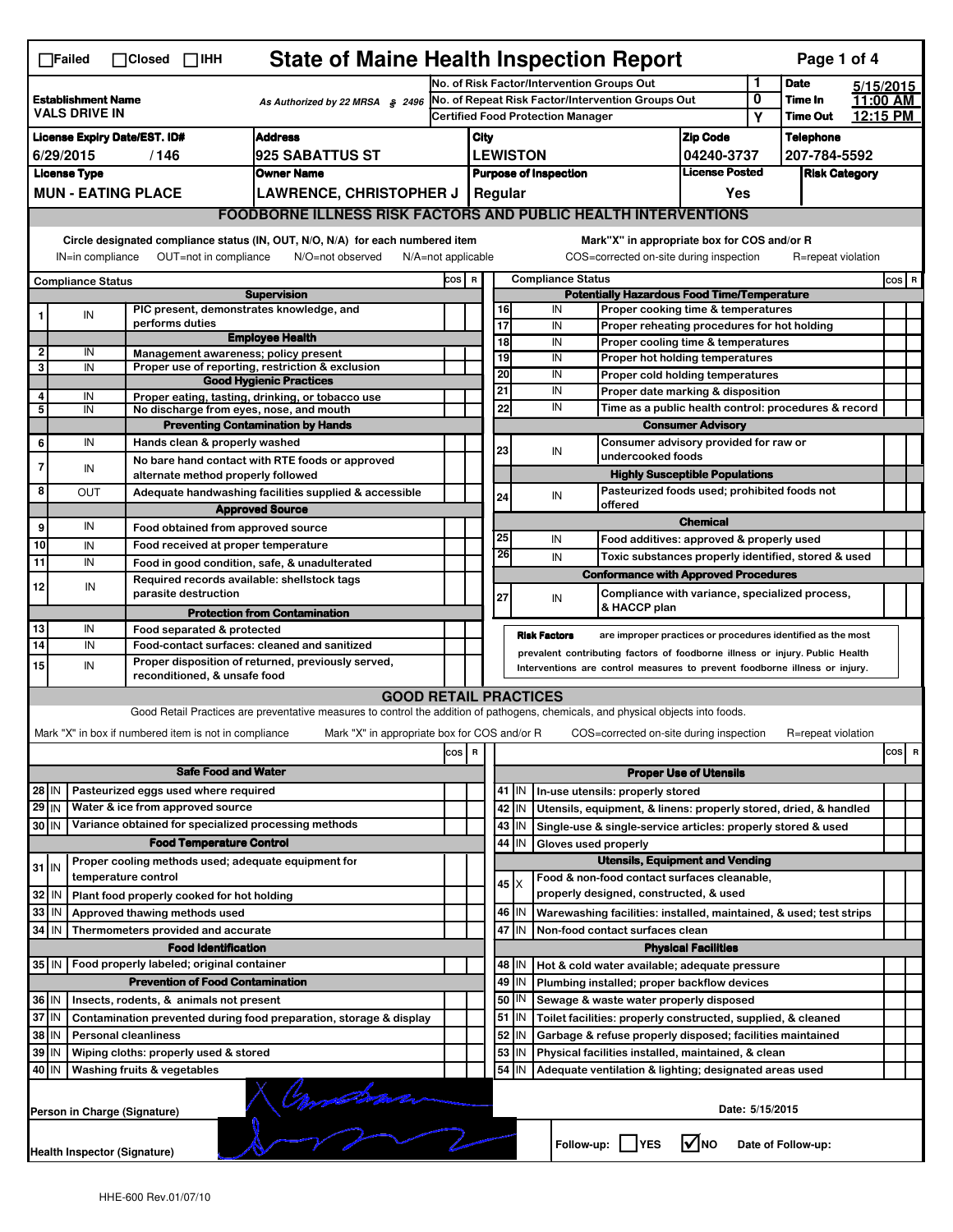|                                                                                                                                                                                                                                                                                       | <b>State of Maine Health Inspection Report</b><br>Page 1 of 4<br>$\Box$ Failed<br>$\Box$ Closed $\Box$ IHH |  |                                                                                          |                                                                                                                                   |                                                                                               |                                                       |                         |                                                    |                                                                                                                                                            |                                                                                                        |                            |                      |                       |       |   |  |
|---------------------------------------------------------------------------------------------------------------------------------------------------------------------------------------------------------------------------------------------------------------------------------------|------------------------------------------------------------------------------------------------------------|--|------------------------------------------------------------------------------------------|-----------------------------------------------------------------------------------------------------------------------------------|-----------------------------------------------------------------------------------------------|-------------------------------------------------------|-------------------------|----------------------------------------------------|------------------------------------------------------------------------------------------------------------------------------------------------------------|--------------------------------------------------------------------------------------------------------|----------------------------|----------------------|-----------------------|-------|---|--|
| <b>Establishment Name</b>                                                                                                                                                                                                                                                             |                                                                                                            |  |                                                                                          |                                                                                                                                   |                                                                                               | No. of Risk Factor/Intervention Groups Out            |                         |                                                    |                                                                                                                                                            |                                                                                                        | 1<br>0                     | <b>Date</b>          | 5/15/2015<br>11:00 AM |       |   |  |
| As Authorized by 22 MRSA § 2496<br><b>VALS DRIVE IN</b>                                                                                                                                                                                                                               |                                                                                                            |  |                                                                                          |                                                                                                                                   | No. of Repeat Risk Factor/Intervention Groups Out<br><b>Certified Food Protection Manager</b> |                                                       |                         |                                                    |                                                                                                                                                            | Υ                                                                                                      | Time In<br><b>Time Out</b> | 12:15 PM             |                       |       |   |  |
|                                                                                                                                                                                                                                                                                       | <b>Address</b><br><b>License Expiry Date/EST. ID#</b>                                                      |  |                                                                                          |                                                                                                                                   |                                                                                               |                                                       | City<br><b>Zip Code</b> |                                                    |                                                                                                                                                            |                                                                                                        |                            | <b>Telephone</b>     |                       |       |   |  |
| 6/29/2015<br>/146<br><b>925 SABATTUS ST</b>                                                                                                                                                                                                                                           |                                                                                                            |  |                                                                                          |                                                                                                                                   |                                                                                               | <b>LEWISTON</b><br>04240-3737                         |                         |                                                    |                                                                                                                                                            |                                                                                                        |                            | 207-784-5592         |                       |       |   |  |
|                                                                                                                                                                                                                                                                                       | <b>License Type</b>                                                                                        |  |                                                                                          | <b>Owner Name</b>                                                                                                                 |                                                                                               | <b>License Posted</b><br><b>Purpose of Inspection</b> |                         |                                                    |                                                                                                                                                            |                                                                                                        |                            | <b>Risk Category</b> |                       |       |   |  |
|                                                                                                                                                                                                                                                                                       |                                                                                                            |  | <b>MUN - EATING PLACE</b>                                                                | <b>LAWRENCE, CHRISTOPHER J</b>                                                                                                    |                                                                                               | Regular<br>Yes                                        |                         |                                                    |                                                                                                                                                            |                                                                                                        |                            |                      |                       |       |   |  |
|                                                                                                                                                                                                                                                                                       |                                                                                                            |  |                                                                                          | <b>FOODBORNE ILLNESS RISK FACTORS AND PUBLIC HEALTH INTERVENTIONS</b>                                                             |                                                                                               |                                                       |                         |                                                    |                                                                                                                                                            |                                                                                                        |                            |                      |                       |       |   |  |
| Circle designated compliance status (IN, OUT, N/O, N/A) for each numbered item<br>Mark"X" in appropriate box for COS and/or R<br>OUT=not in compliance<br>COS=corrected on-site during inspection<br>R=repeat violation<br>IN=in compliance<br>N/O=not observed<br>N/A=not applicable |                                                                                                            |  |                                                                                          |                                                                                                                                   |                                                                                               |                                                       |                         |                                                    |                                                                                                                                                            |                                                                                                        |                            |                      |                       |       |   |  |
|                                                                                                                                                                                                                                                                                       | <b>Compliance Status</b>                                                                                   |  |                                                                                          |                                                                                                                                   | cos                                                                                           | $\mathbf R$                                           |                         |                                                    | <b>Compliance Status</b>                                                                                                                                   |                                                                                                        |                            |                      |                       | COS R |   |  |
|                                                                                                                                                                                                                                                                                       |                                                                                                            |  |                                                                                          | <b>Supervision</b>                                                                                                                |                                                                                               |                                                       |                         | <b>Potentially Hazardous Food Time/Temperature</b> |                                                                                                                                                            |                                                                                                        |                            |                      |                       |       |   |  |
|                                                                                                                                                                                                                                                                                       | IN                                                                                                         |  | PIC present, demonstrates knowledge, and<br>performs duties                              |                                                                                                                                   |                                                                                               |                                                       | 16                      |                                                    | IN                                                                                                                                                         | Proper cooking time & temperatures                                                                     |                            |                      |                       |       |   |  |
|                                                                                                                                                                                                                                                                                       |                                                                                                            |  |                                                                                          | <b>Employee Health</b>                                                                                                            |                                                                                               |                                                       | 17<br>$\overline{18}$   |                                                    | IN<br>IN                                                                                                                                                   | Proper reheating procedures for hot holding<br>Proper cooling time & temperatures                      |                            |                      |                       |       |   |  |
| $\overline{2}$                                                                                                                                                                                                                                                                        | IN                                                                                                         |  | Management awareness: policy present                                                     |                                                                                                                                   |                                                                                               |                                                       | 19                      |                                                    | IN                                                                                                                                                         | Proper hot holding temperatures                                                                        |                            |                      |                       |       |   |  |
| 3                                                                                                                                                                                                                                                                                     | IN                                                                                                         |  |                                                                                          | Proper use of reporting, restriction & exclusion<br><b>Good Hygienic Practices</b>                                                |                                                                                               |                                                       | 20                      |                                                    | IN                                                                                                                                                         | Proper cold holding temperatures                                                                       |                            |                      |                       |       |   |  |
| 4                                                                                                                                                                                                                                                                                     | IN                                                                                                         |  |                                                                                          | Proper eating, tasting, drinking, or tobacco use                                                                                  |                                                                                               |                                                       | 21                      |                                                    | IN                                                                                                                                                         | Proper date marking & disposition                                                                      |                            |                      |                       |       |   |  |
| 5                                                                                                                                                                                                                                                                                     | IN                                                                                                         |  | No discharge from eyes, nose, and mouth                                                  |                                                                                                                                   |                                                                                               |                                                       | 22                      |                                                    | IN                                                                                                                                                         | Time as a public health control: procedures & record                                                   |                            |                      |                       |       |   |  |
|                                                                                                                                                                                                                                                                                       |                                                                                                            |  |                                                                                          | <b>Preventing Contamination by Hands</b>                                                                                          |                                                                                               |                                                       |                         |                                                    |                                                                                                                                                            | <b>Consumer Advisory</b>                                                                               |                            |                      |                       |       |   |  |
| 6                                                                                                                                                                                                                                                                                     | IN                                                                                                         |  | Hands clean & properly washed                                                            |                                                                                                                                   |                                                                                               |                                                       | 23                      |                                                    | IN                                                                                                                                                         | Consumer advisory provided for raw or<br>undercooked foods                                             |                            |                      |                       |       |   |  |
| $\overline{7}$                                                                                                                                                                                                                                                                        | IN                                                                                                         |  | alternate method properly followed                                                       | No bare hand contact with RTE foods or approved                                                                                   |                                                                                               |                                                       |                         |                                                    |                                                                                                                                                            | <b>Highly Susceptible Populations</b>                                                                  |                            |                      |                       |       |   |  |
| 8                                                                                                                                                                                                                                                                                     | OUT                                                                                                        |  |                                                                                          | Adequate handwashing facilities supplied & accessible                                                                             |                                                                                               |                                                       | 24                      |                                                    | IN                                                                                                                                                         | Pasteurized foods used; prohibited foods not                                                           |                            |                      |                       |       |   |  |
|                                                                                                                                                                                                                                                                                       |                                                                                                            |  |                                                                                          | <b>Approved Source</b>                                                                                                            |                                                                                               |                                                       |                         |                                                    | offered                                                                                                                                                    |                                                                                                        |                            |                      |                       |       |   |  |
| 9                                                                                                                                                                                                                                                                                     | IN                                                                                                         |  | Food obtained from approved source                                                       |                                                                                                                                   |                                                                                               |                                                       |                         |                                                    |                                                                                                                                                            | <b>Chemical</b>                                                                                        |                            |                      |                       |       |   |  |
| 10                                                                                                                                                                                                                                                                                    | IN                                                                                                         |  | Food received at proper temperature                                                      |                                                                                                                                   |                                                                                               |                                                       | 25<br>26                |                                                    | IN                                                                                                                                                         | Food additives: approved & properly used                                                               |                            |                      |                       |       |   |  |
| $\overline{11}$                                                                                                                                                                                                                                                                       | IN                                                                                                         |  |                                                                                          | Food in good condition, safe, & unadulterated                                                                                     |                                                                                               |                                                       |                         |                                                    | IN                                                                                                                                                         | Toxic substances properly identified, stored & used                                                    |                            |                      |                       |       |   |  |
| 12                                                                                                                                                                                                                                                                                    | IN                                                                                                         |  | Required records available: shellstock tags                                              |                                                                                                                                   |                                                                                               |                                                       |                         |                                                    |                                                                                                                                                            | <b>Conformance with Approved Procedures</b>                                                            |                            |                      |                       |       |   |  |
|                                                                                                                                                                                                                                                                                       |                                                                                                            |  | parasite destruction                                                                     |                                                                                                                                   |                                                                                               |                                                       | 27                      |                                                    | IN<br>& HACCP plan                                                                                                                                         | Compliance with variance, specialized process,                                                         |                            |                      |                       |       |   |  |
| 13                                                                                                                                                                                                                                                                                    | IN                                                                                                         |  | Food separated & protected                                                               | <b>Protection from Contamination</b>                                                                                              |                                                                                               |                                                       |                         |                                                    |                                                                                                                                                            |                                                                                                        |                            |                      |                       |       |   |  |
| 14                                                                                                                                                                                                                                                                                    | IN                                                                                                         |  |                                                                                          | Food-contact surfaces: cleaned and sanitized                                                                                      |                                                                                               |                                                       |                         |                                                    | <b>Risk Factors</b>                                                                                                                                        | are improper practices or procedures identified as the most                                            |                            |                      |                       |       |   |  |
| 15                                                                                                                                                                                                                                                                                    | IN                                                                                                         |  |                                                                                          | Proper disposition of returned, previously served,                                                                                |                                                                                               |                                                       |                         |                                                    | prevalent contributing factors of foodborne illness or injury. Public Health<br>Interventions are control measures to prevent foodborne illness or injury. |                                                                                                        |                            |                      |                       |       |   |  |
|                                                                                                                                                                                                                                                                                       |                                                                                                            |  | reconditioned, & unsafe food                                                             |                                                                                                                                   |                                                                                               |                                                       |                         |                                                    |                                                                                                                                                            |                                                                                                        |                            |                      |                       |       |   |  |
|                                                                                                                                                                                                                                                                                       |                                                                                                            |  |                                                                                          | <b>GOOD RETAIL PRACTICES</b>                                                                                                      |                                                                                               |                                                       |                         |                                                    |                                                                                                                                                            |                                                                                                        |                            |                      |                       |       |   |  |
|                                                                                                                                                                                                                                                                                       |                                                                                                            |  |                                                                                          | Good Retail Practices are preventative measures to control the addition of pathogens, chemicals, and physical objects into foods. |                                                                                               |                                                       |                         |                                                    |                                                                                                                                                            |                                                                                                        |                            |                      |                       |       |   |  |
|                                                                                                                                                                                                                                                                                       |                                                                                                            |  | Mark "X" in box if numbered item is not in compliance                                    | Mark "X" in appropriate box for COS and/or R                                                                                      |                                                                                               |                                                       |                         |                                                    |                                                                                                                                                            | COS=corrected on-site during inspection                                                                |                            | R=repeat violation   |                       |       |   |  |
|                                                                                                                                                                                                                                                                                       |                                                                                                            |  |                                                                                          |                                                                                                                                   | cos R                                                                                         |                                                       |                         |                                                    |                                                                                                                                                            |                                                                                                        |                            |                      |                       | cos   | R |  |
|                                                                                                                                                                                                                                                                                       |                                                                                                            |  | <b>Safe Food and Water</b>                                                               |                                                                                                                                   |                                                                                               |                                                       |                         | <b>Proper Use of Utensils</b>                      |                                                                                                                                                            |                                                                                                        |                            |                      |                       |       |   |  |
|                                                                                                                                                                                                                                                                                       | Pasteurized eggs used where required<br>$28$ IN                                                            |  |                                                                                          |                                                                                                                                   |                                                                                               |                                                       | 41                      | IN                                                 | In-use utensils: properly stored                                                                                                                           |                                                                                                        |                            |                      |                       |       |   |  |
| $29$ IN                                                                                                                                                                                                                                                                               |                                                                                                            |  | Water & ice from approved source<br>Variance obtained for specialized processing methods |                                                                                                                                   |                                                                                               |                                                       |                         | 42 IN                                              | Utensils, equipment, & linens: properly stored, dried, & handled                                                                                           |                                                                                                        |                            |                      |                       |       |   |  |
| 30 IN                                                                                                                                                                                                                                                                                 |                                                                                                            |  | <b>Food Temperature Control</b>                                                          |                                                                                                                                   |                                                                                               |                                                       | 44                      | $43$ IN<br>IN                                      | Single-use & single-service articles: properly stored & used<br>Gloves used properly                                                                       |                                                                                                        |                            |                      |                       |       |   |  |
|                                                                                                                                                                                                                                                                                       |                                                                                                            |  | Proper cooling methods used; adequate equipment for                                      |                                                                                                                                   |                                                                                               |                                                       |                         |                                                    |                                                                                                                                                            | <b>Utensils, Equipment and Vending</b>                                                                 |                            |                      |                       |       |   |  |
| $31$ IN                                                                                                                                                                                                                                                                               |                                                                                                            |  | temperature control                                                                      |                                                                                                                                   |                                                                                               |                                                       |                         |                                                    | Food & non-food contact surfaces cleanable,                                                                                                                |                                                                                                        |                            |                      |                       |       |   |  |
| 32                                                                                                                                                                                                                                                                                    | IN                                                                                                         |  | Plant food properly cooked for hot holding                                               |                                                                                                                                   |                                                                                               |                                                       |                         | 45   X                                             |                                                                                                                                                            | properly designed, constructed, & used                                                                 |                            |                      |                       |       |   |  |
| 33                                                                                                                                                                                                                                                                                    | IN                                                                                                         |  | Approved thawing methods used                                                            |                                                                                                                                   |                                                                                               |                                                       |                         | 46 IN                                              | Warewashing facilities: installed, maintained, & used; test strips                                                                                         |                                                                                                        |                            |                      |                       |       |   |  |
| 34                                                                                                                                                                                                                                                                                    | l IN                                                                                                       |  | Thermometers provided and accurate                                                       |                                                                                                                                   |                                                                                               |                                                       |                         | 47 IN<br>Non-food contact surfaces clean           |                                                                                                                                                            |                                                                                                        |                            |                      |                       |       |   |  |
|                                                                                                                                                                                                                                                                                       |                                                                                                            |  | <b>Food Identification</b>                                                               |                                                                                                                                   |                                                                                               |                                                       |                         | <b>Physical Facilities</b>                         |                                                                                                                                                            |                                                                                                        |                            |                      |                       |       |   |  |
|                                                                                                                                                                                                                                                                                       | Food properly labeled; original container<br>35 IN                                                         |  |                                                                                          |                                                                                                                                   |                                                                                               |                                                       |                         | 48   IN                                            | Hot & cold water available; adequate pressure                                                                                                              |                                                                                                        |                            |                      |                       |       |   |  |
|                                                                                                                                                                                                                                                                                       | <b>Prevention of Food Contamination</b>                                                                    |  |                                                                                          |                                                                                                                                   |                                                                                               |                                                       | 49                      | IN                                                 | Plumbing installed; proper backflow devices                                                                                                                |                                                                                                        |                            |                      |                       |       |   |  |
|                                                                                                                                                                                                                                                                                       | 36 IN<br>Insects, rodents, & animals not present                                                           |  |                                                                                          |                                                                                                                                   |                                                                                               |                                                       | 50                      | IN                                                 |                                                                                                                                                            | Sewage & waste water properly disposed<br>Toilet facilities: properly constructed, supplied, & cleaned |                            |                      |                       |       |   |  |
| 37 IN<br>Contamination prevented during food preparation, storage & display<br>38<br>IN                                                                                                                                                                                               |                                                                                                            |  |                                                                                          |                                                                                                                                   |                                                                                               |                                                       | 52                      | $51$ $\vert$ IN<br>IN                              | Garbage & refuse properly disposed; facilities maintained                                                                                                  |                                                                                                        |                            |                      |                       |       |   |  |
| <b>Personal cleanliness</b><br>39<br>IN<br>Wiping cloths: properly used & stored                                                                                                                                                                                                      |                                                                                                            |  |                                                                                          |                                                                                                                                   |                                                                                               |                                                       | 53                      | IN                                                 |                                                                                                                                                            |                                                                                                        |                            |                      |                       |       |   |  |
| Physical facilities installed, maintained, & clean<br>54<br>40 IN<br>Washing fruits & vegetables<br>IN<br>Adequate ventilation & lighting; designated areas used                                                                                                                      |                                                                                                            |  |                                                                                          |                                                                                                                                   |                                                                                               |                                                       |                         |                                                    |                                                                                                                                                            |                                                                                                        |                            |                      |                       |       |   |  |
|                                                                                                                                                                                                                                                                                       |                                                                                                            |  |                                                                                          |                                                                                                                                   |                                                                                               |                                                       |                         |                                                    |                                                                                                                                                            |                                                                                                        |                            |                      |                       |       |   |  |
| Date: 5/15/2015<br>Person in Charge (Signature)                                                                                                                                                                                                                                       |                                                                                                            |  |                                                                                          |                                                                                                                                   |                                                                                               |                                                       |                         |                                                    |                                                                                                                                                            |                                                                                                        |                            |                      |                       |       |   |  |
|                                                                                                                                                                                                                                                                                       |                                                                                                            |  |                                                                                          |                                                                                                                                   |                                                                                               |                                                       |                         |                                                    |                                                                                                                                                            |                                                                                                        |                            |                      |                       |       |   |  |
|                                                                                                                                                                                                                                                                                       |                                                                                                            |  |                                                                                          |                                                                                                                                   |                                                                                               |                                                       |                         |                                                    | Follow-up:     YES                                                                                                                                         | l√lno                                                                                                  |                            | Date of Follow-up:   |                       |       |   |  |
|                                                                                                                                                                                                                                                                                       | <b>Health Inspector (Signature)</b>                                                                        |  |                                                                                          |                                                                                                                                   |                                                                                               |                                                       |                         |                                                    |                                                                                                                                                            |                                                                                                        |                            |                      |                       |       |   |  |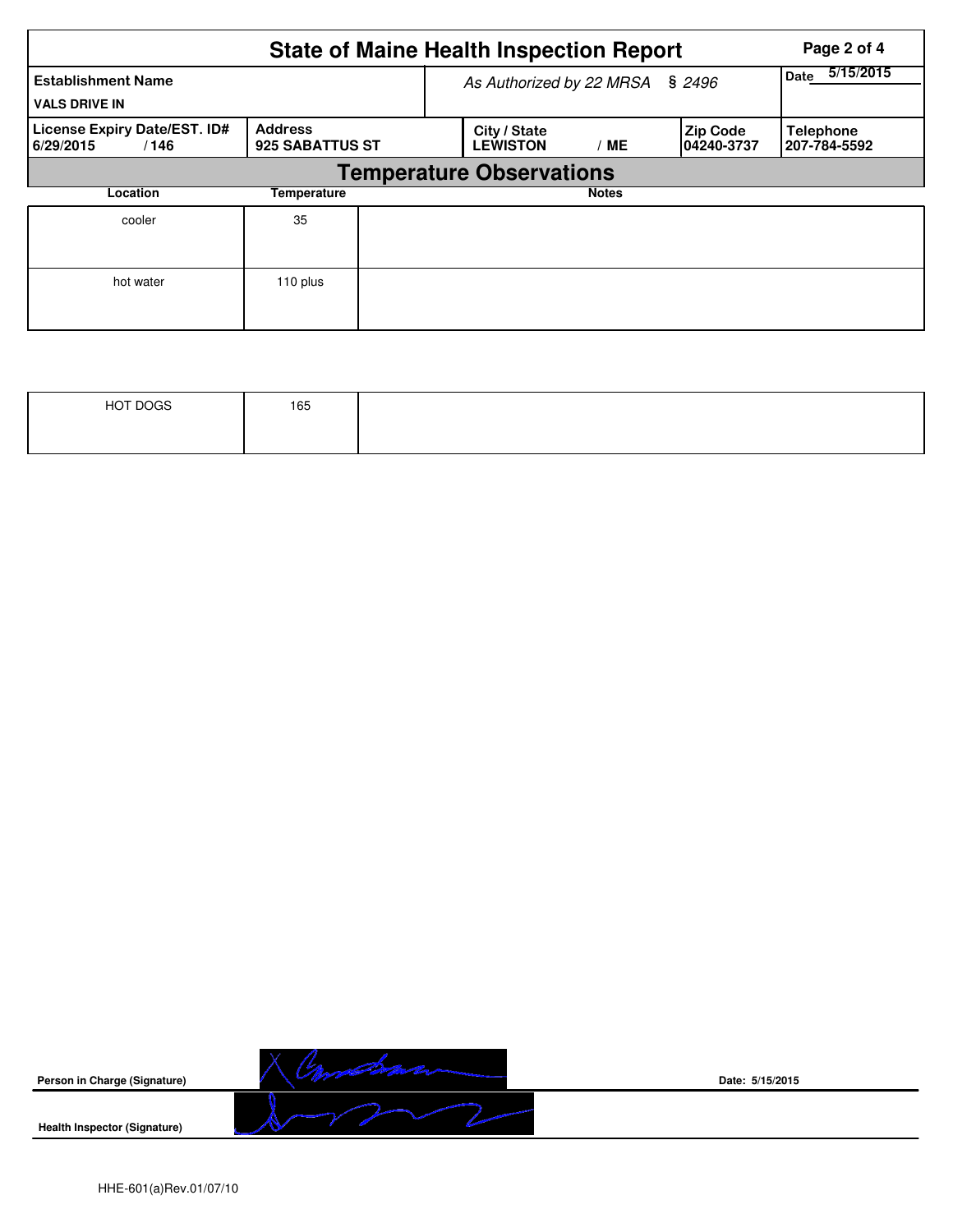|                                                   | Page 2 of 4                       |  |                                 |                   |                               |                                  |  |  |  |  |  |
|---------------------------------------------------|-----------------------------------|--|---------------------------------|-------------------|-------------------------------|----------------------------------|--|--|--|--|--|
| <b>Establishment Name</b><br><b>VALS DRIVE IN</b> |                                   |  | As Authorized by 22 MRSA § 2496 | 5/15/2015<br>Date |                               |                                  |  |  |  |  |  |
| License Expiry Date/EST. ID#<br>6/29/2015<br>/146 | <b>Address</b><br>925 SABATTUS ST |  | City / State<br><b>LEWISTON</b> | <b>ME</b>         | <b>Zip Code</b><br>04240-3737 | <b>Telephone</b><br>207-784-5592 |  |  |  |  |  |
|                                                   | <b>Temperature Observations</b>   |  |                                 |                   |                               |                                  |  |  |  |  |  |
| Location                                          | Temperature                       |  |                                 | <b>Notes</b>      |                               |                                  |  |  |  |  |  |
| cooler                                            | 35                                |  |                                 |                   |                               |                                  |  |  |  |  |  |
| hot water                                         | 110 plus                          |  |                                 |                   |                               |                                  |  |  |  |  |  |

| HOT DOGS | 165 |  |
|----------|-----|--|
|          |     |  |



**Date: 5/15/2015**

HHE-601(a)Rev.01/07/10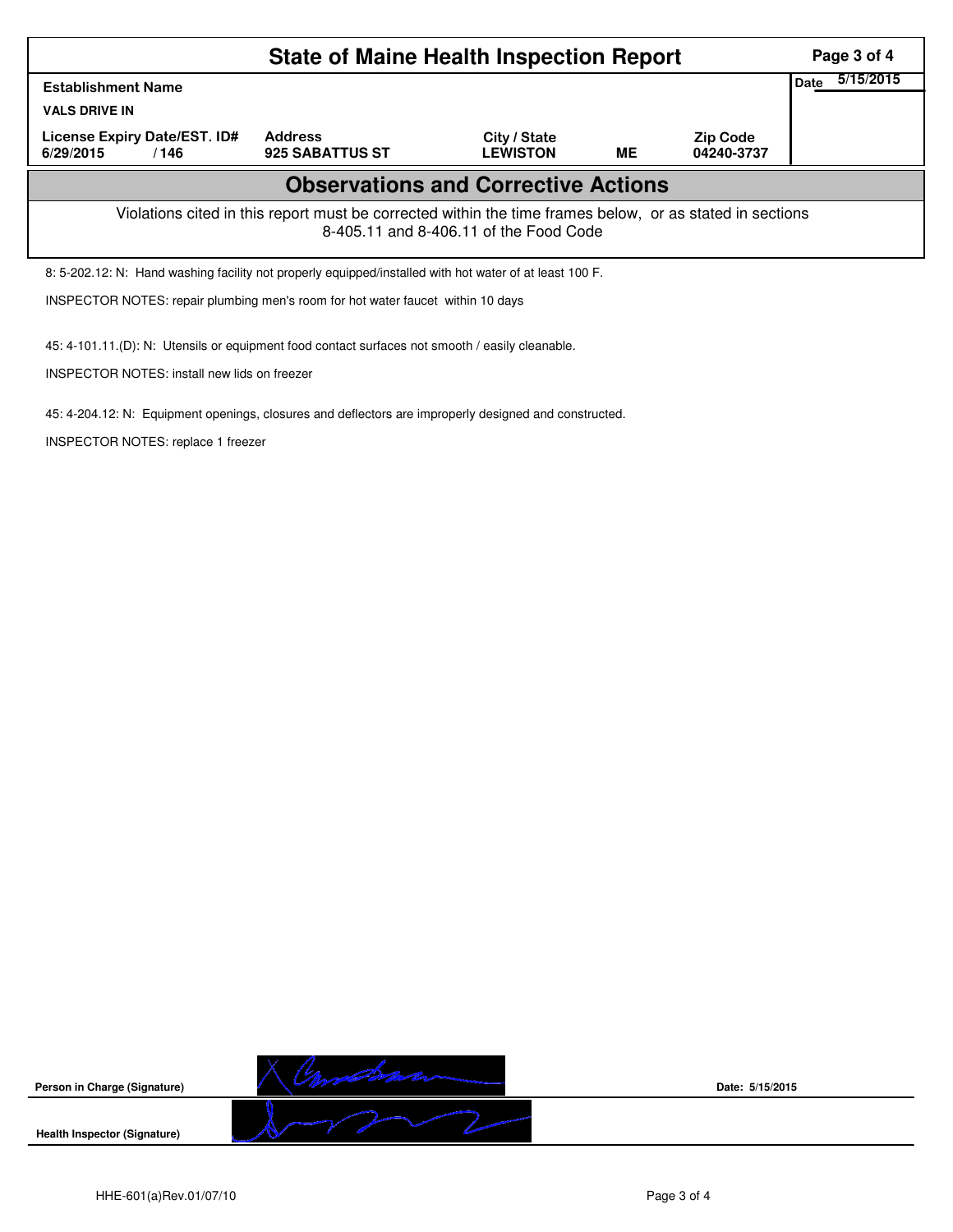|                                                                                                                                                    | Page 3 of 4       |  |  |  |  |  |  |  |  |  |
|----------------------------------------------------------------------------------------------------------------------------------------------------|-------------------|--|--|--|--|--|--|--|--|--|
| <b>Establishment Name</b>                                                                                                                          | 5/15/2015<br>Date |  |  |  |  |  |  |  |  |  |
| <b>VALS DRIVE IN</b>                                                                                                                               |                   |  |  |  |  |  |  |  |  |  |
| License Expiry Date/EST. ID#<br>6/29/2015<br>/146                                                                                                  |                   |  |  |  |  |  |  |  |  |  |
| <b>Observations and Corrective Actions</b>                                                                                                         |                   |  |  |  |  |  |  |  |  |  |
| Violations cited in this report must be corrected within the time frames below, or as stated in sections<br>8-405.11 and 8-406.11 of the Food Code |                   |  |  |  |  |  |  |  |  |  |
| 8: 5-202.12: N: Hand washing facility not properly equipped/installed with hot water of at least 100 F.                                            |                   |  |  |  |  |  |  |  |  |  |
| INSPECTOR NOTES: repair plumbing men's room for hot water faucet within 10 days                                                                    |                   |  |  |  |  |  |  |  |  |  |



45: 4-101.11.(D): N: Utensils or equipment food contact surfaces not smooth / easily cleanable.

45: 4-204.12: N: Equipment openings, closures and deflectors are improperly designed and constructed.

INSPECTOR NOTES: install new lids on freezer

INSPECTOR NOTES: replace 1 freezer

**Date: 5/15/2015**

HHE-601(a)Rev.01/07/10 **Page 3 of 4**